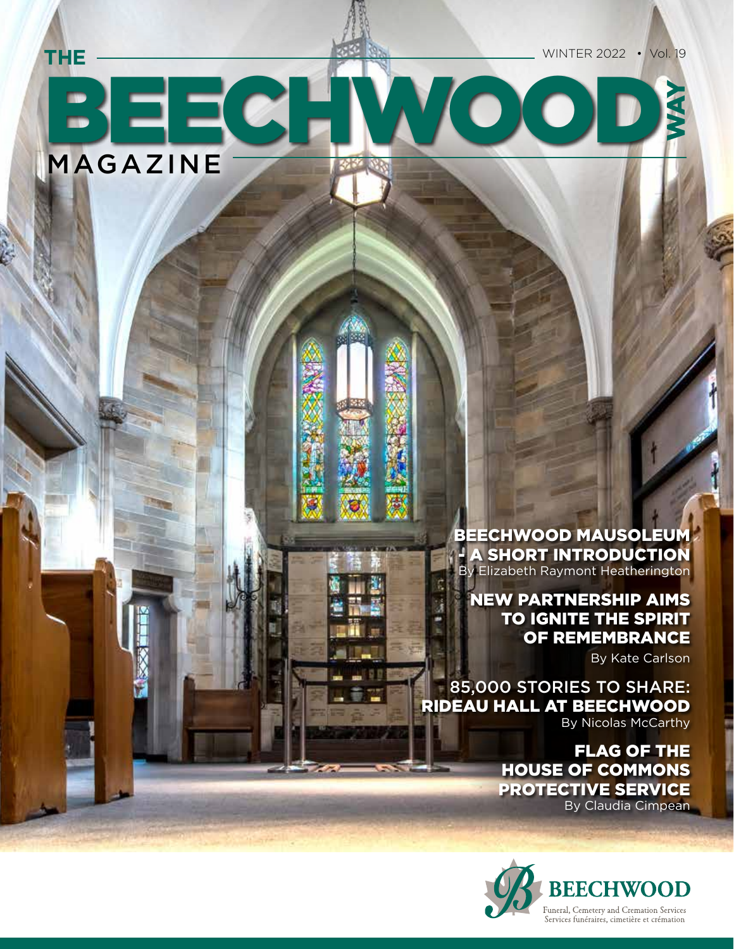WAY

# BEECHWOOD MAGAZINE **THE**

BEECHWOOD MAUSOLEUM A SHORT INTRODUCTION By Elizabeth Raymont Heatherington

### NEW PARTNERSHIP AIMS TO IGNITE THE SPIRIT OF REMEMBRANCE

By Kate Carlson

85,000 STORIES TO SHARE: RIDEAU HALL AT BEECHWOOD By Nicolas McCarthy

> FLAG OF THE HOUSE OF COMMONS PROTECTIVE SERVICE By Claudia Cimpean

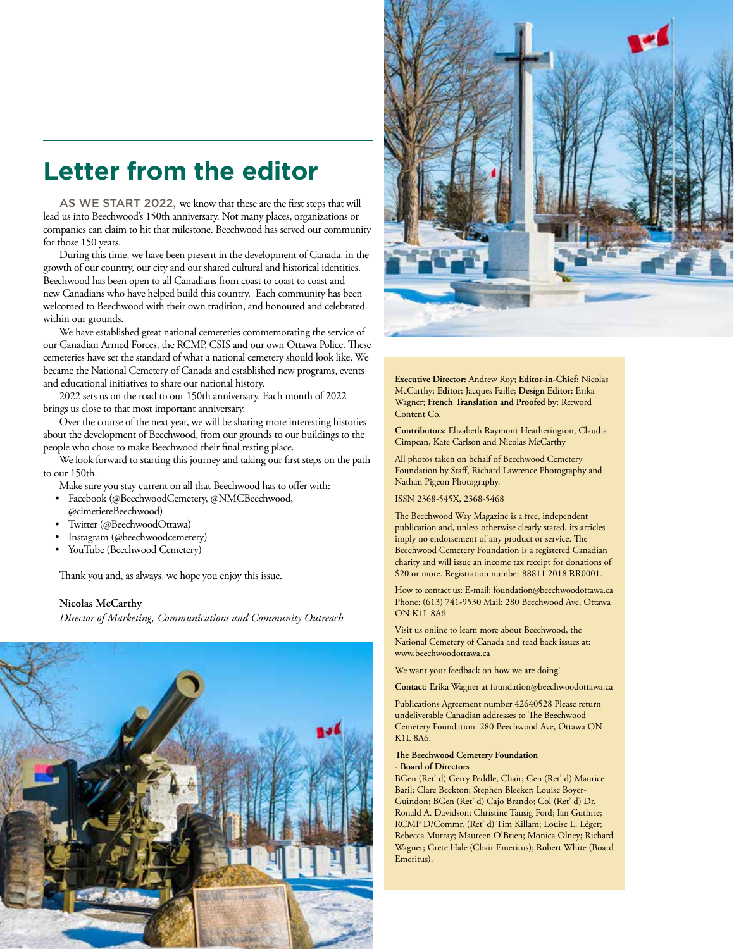## **Letter from the editor**

AS WE START 2022, we know that these are the first steps that will lead us into Beechwood's 150th anniversary. Not many places, organizations or companies can claim to hit that milestone. Beechwood has served our community for those 150 years.

During this time, we have been present in the development of Canada, in the growth of our country, our city and our shared cultural and historical identities. Beechwood has been open to all Canadians from coast to coast to coast and new Canadians who have helped build this country. Each community has been welcomed to Beechwood with their own tradition, and honoured and celebrated within our grounds.

We have established great national cemeteries commemorating the service of our Canadian Armed Forces, the RCMP, CSIS and our own Ottawa Police. These cemeteries have set the standard of what a national cemetery should look like. We became the National Cemetery of Canada and established new programs, events and educational initiatives to share our national history.

2022 sets us on the road to our 150th anniversary. Each month of 2022 brings us close to that most important anniversary.

Over the course of the next year, we will be sharing more interesting histories about the development of Beechwood, from our grounds to our buildings to the people who chose to make Beechwood their final resting place.

We look forward to starting this journey and taking our first steps on the path to our 150th.

Make sure you stay current on all that Beechwood has to offer with:

- Facebook (@BeechwoodCemetery, @NMCBeechwood,
- @cimetiereBeechwood)
- Twitter (@BeechwoodOttawa)
- Instagram (@beechwoodcemetery)
- YouTube (Beechwood Cemetery)

Thank you and, as always, we hope you enjoy this issue.

#### **Nicolas McCarthy**

*Director of Marketing, Communications and Community Outreach*





**Executive Director:** Andrew Roy; **Editor-in-Chief:** Nicolas McCarthy; **Editor:** Jacques Faille; **Design Editor:** Erika Wagner; **French Translation and Proofed by:** Re:word Content Co.

**Contributors:** Elizabeth Raymont Heatherington, Claudia Cimpean, Kate Carlson and Nicolas McCarthy

All photos taken on behalf of Beechwood Cemetery Foundation by Staff, Richard Lawrence Photography and Nathan Pigeon Photography.

ISSN 2368-545X, 2368-5468

The Beechwood Way Magazine is a free, independent publication and, unless otherwise clearly stated, its articles imply no endorsement of any product or service. The Beechwood Cemetery Foundation is a registered Canadian charity and will issue an income tax receipt for donations of \$20 or more. Registration number 88811 2018 RR0001.

How to contact us: E-mail: foundation@beechwoodottawa.ca Phone: (613) 741-9530 Mail: 280 Beechwood Ave, Ottawa ON K1L 8A6

Visit us online to learn more about Beechwood, the National Cemetery of Canada and read back issues at: www.beechwoodottawa.ca

We want your feedback on how we are doing!

**Contact:** Erika Wagner at foundation@beechwoodottawa.ca

Publications Agreement number 42640528 Please return undeliverable Canadian addresses to The Beechwood Cemetery Foundation. 280 Beechwood Ave, Ottawa ON K1L 8A6.

#### **The Beechwood Cemetery Foundation - Board of Directors**

BGen (Ret' d) Gerry Peddle, Chair; Gen (Ret' d) Maurice Baril; Clare Beckton; Stephen Bleeker; Louise Boyer-Guindon; BGen (Ret' d) Cajo Brando; Col (Ret' d) Dr. Ronald A. Davidson; Christine Tausig Ford; Ian Guthrie; RCMP D/Commr. (Ret' d) Tim Killam; Louise L. Léger; Rebecca Murray; Maureen O'Brien; Monica Olney; Richard Wagner; Grete Hale (Chair Emeritus); Robert White (Board Emeritus).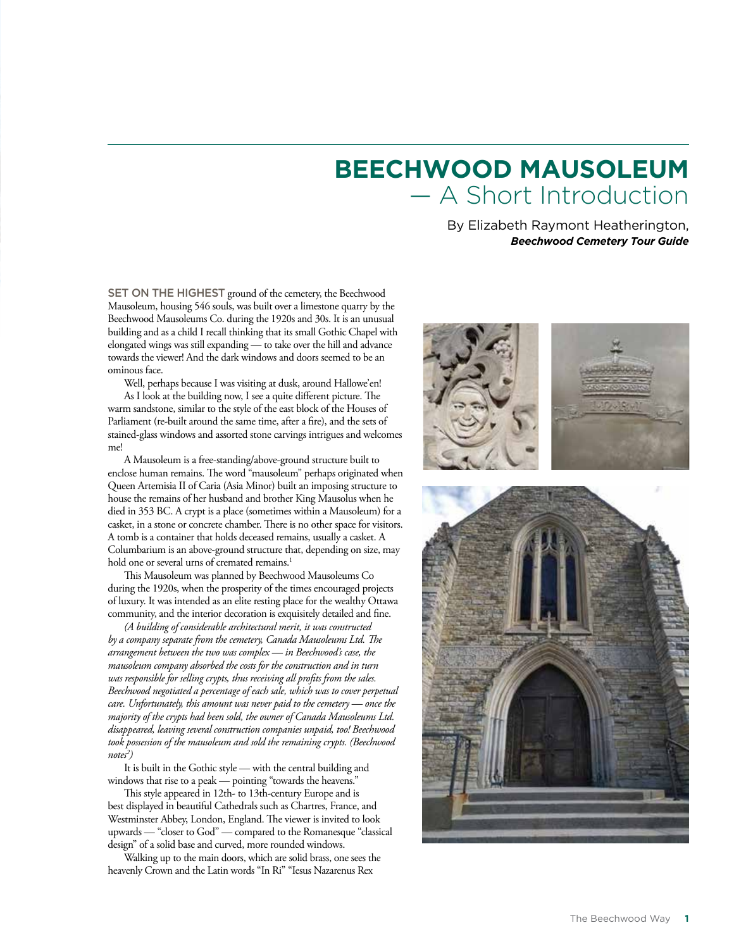# **BEECHWOOD MAUSOLEUM** — A Short Introduction

By Elizabeth Raymont Heatherington, *Beechwood Cemetery Tour Guide* 

SET ON THE HIGHEST ground of the cemetery, the Beechwood Mausoleum, housing 546 souls, was built over a limestone quarry by the Beechwood Mausoleums Co. during the 1920s and 30s. It is an unusual building and as a child I recall thinking that its small Gothic Chapel with elongated wings was still expanding — to take over the hill and advance towards the viewer! And the dark windows and doors seemed to be an ominous face.

Well, perhaps because I was visiting at dusk, around Hallowe'en! As I look at the building now, I see a quite different picture. The warm sandstone, similar to the style of the east block of the Houses of Parliament (re-built around the same time, after a fire), and the sets of stained-glass windows and assorted stone carvings intrigues and welcomes me!

A Mausoleum is a free-standing/above-ground structure built to enclose human remains. The word "mausoleum" perhaps originated when Queen Artemisia II of Caria (Asia Minor) built an imposing structure to house the remains of her husband and brother King Mausolus when he died in 353 BC. A crypt is a place (sometimes within a Mausoleum) for a casket, in a stone or concrete chamber. There is no other space for visitors. A tomb is a container that holds deceased remains, usually a casket. A Columbarium is an above-ground structure that, depending on size, may hold one or several urns of cremated remains.<sup>1</sup>

This Mausoleum was planned by Beechwood Mausoleums Co during the 1920s, when the prosperity of the times encouraged projects of luxury. It was intended as an elite resting place for the wealthy Ottawa community, and the interior decoration is exquisitely detailed and fine.

*(A building of considerable architectural merit, it was constructed by a company separate from the cemetery, Canada Mausoleums Ltd. The arrangement between the two was complex — in Beechwood's case, the mausoleum company absorbed the costs for the construction and in turn was responsible for selling crypts, thus receiving all profits from the sales. Beechwood negotiated a percentage of each sale, which was to cover perpetual care. Unfortunately, this amount was never paid to the cemetery — once the majority of the crypts had been sold, the owner of Canada Mausoleums Ltd. disappeared, leaving several construction companies unpaid, too! Beechwood took possession of the mausoleum and sold the remaining crypts. (Beechwood notes2 )*

It is built in the Gothic style — with the central building and windows that rise to a peak — pointing "towards the heavens."

This style appeared in 12th- to 13th-century Europe and is best displayed in beautiful Cathedrals such as Chartres, France, and Westminster Abbey, London, England. The viewer is invited to look upwards — "closer to God" — compared to the Romanesque "classical design" of a solid base and curved, more rounded windows.

Walking up to the main doors, which are solid brass, one sees the heavenly Crown and the Latin words "In Ri" "Iesus Nazarenus Rex

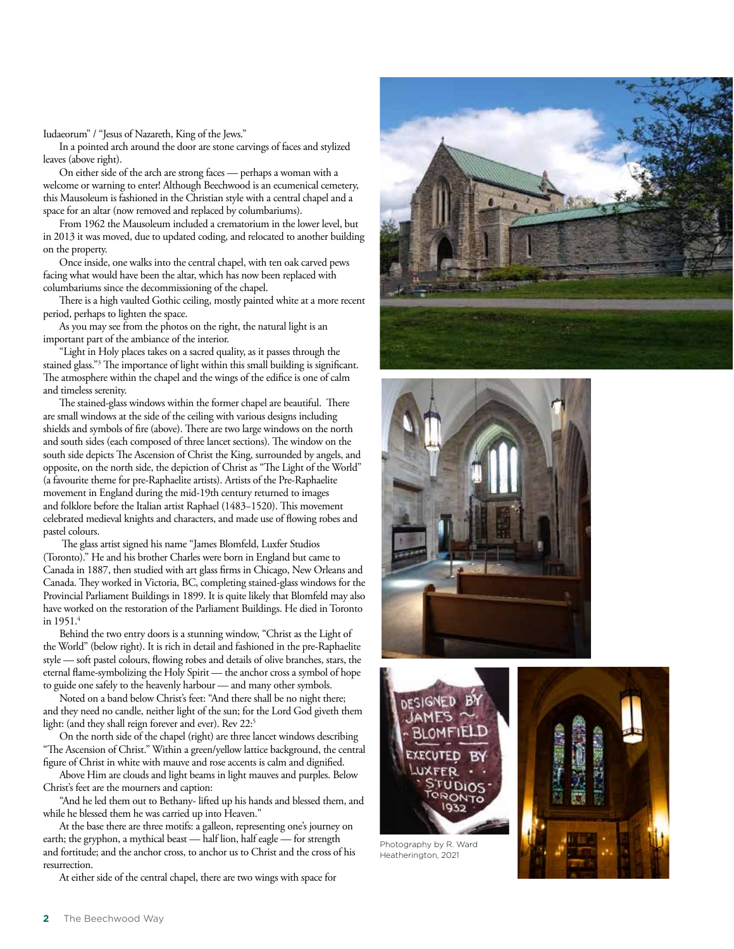Iudaeorum" / "Jesus of Nazareth, King of the Jews."

In a pointed arch around the door are stone carvings of faces and stylized leaves (above right).

On either side of the arch are strong faces — perhaps a woman with a welcome or warning to enter! Although Beechwood is an ecumenical cemetery, this Mausoleum is fashioned in the Christian style with a central chapel and a space for an altar (now removed and replaced by columbariums).

From 1962 the Mausoleum included a crematorium in the lower level, but in 2013 it was moved, due to updated coding, and relocated to another building on the property.

Once inside, one walks into the central chapel, with ten oak carved pews facing what would have been the altar, which has now been replaced with columbariums since the decommissioning of the chapel.

There is a high vaulted Gothic ceiling, mostly painted white at a more recent period, perhaps to lighten the space.

As you may see from the photos on the right, the natural light is an important part of the ambiance of the interior.

"Light in Holy places takes on a sacred quality, as it passes through the stained glass."3 The importance of light within this small building is significant. The atmosphere within the chapel and the wings of the edifice is one of calm and timeless serenity.

The stained-glass windows within the former chapel are beautiful. There are small windows at the side of the ceiling with various designs including shields and symbols of fire (above). There are two large windows on the north and south sides (each composed of three lancet sections). The window on the south side depicts The Ascension of Christ the King, surrounded by angels, and opposite, on the north side, the depiction of Christ as "The Light of the World" (a favourite theme for pre-Raphaelite artists). Artists of the Pre-Raphaelite movement in England during the mid-19th century returned to images and folklore before the Italian artist Raphael (1483−1520). This movement celebrated medieval knights and characters, and made use of flowing robes and pastel colours.

 The glass artist signed his name "James Blomfeld, Luxfer Studios (Toronto)." He and his brother Charles were born in England but came to Canada in 1887, then studied with art glass firms in Chicago, New Orleans and Canada. They worked in Victoria, BC, completing stained-glass windows for the Provincial Parliament Buildings in 1899. It is quite likely that Blomfeld may also have worked on the restoration of the Parliament Buildings. He died in Toronto in 1951.4

Behind the two entry doors is a stunning window, "Christ as the Light of the World" (below right). It is rich in detail and fashioned in the pre-Raphaelite style — soft pastel colours, flowing robes and details of olive branches, stars, the eternal flame-symbolizing the Holy Spirit — the anchor cross a symbol of hope to guide one safely to the heavenly harbour — and many other symbols.

Noted on a band below Christ's feet: "And there shall be no night there; and they need no candle, neither light of the sun; for the Lord God giveth them light: (and they shall reign forever and ever). Rev 22:<sup>5</sup>

On the north side of the chapel (right) are three lancet windows describing "The Ascension of Christ." Within a green/yellow lattice background, the central figure of Christ in white with mauve and rose accents is calm and dignified.

Above Him are clouds and light beams in light mauves and purples. Below Christ's feet are the mourners and caption:

"And he led them out to Bethany- lifted up his hands and blessed them, and while he blessed them he was carried up into Heaven."

At the base there are three motifs: a galleon, representing one's journey on earth; the gryphon, a mythical beast — half lion, half eagle — for strength and fortitude; and the anchor cross, to anchor us to Christ and the cross of his resurrection.

At either side of the central chapel, there are two wings with space for







Photography by R. Ward Heatherington, 2021

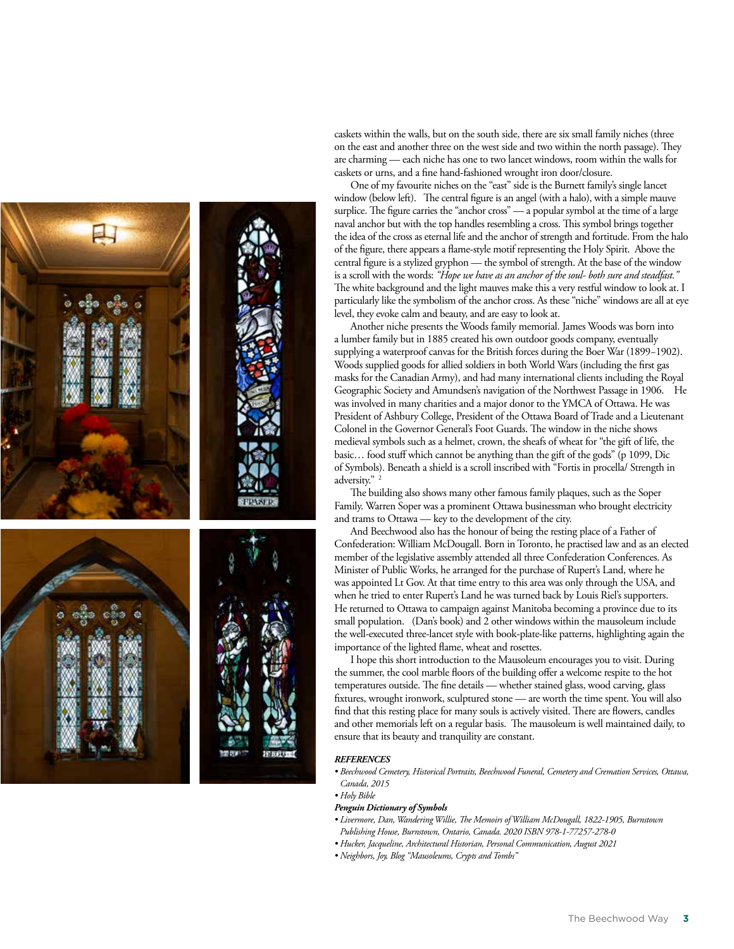

caskets within the walls, but on the south side, there are six small family niches (three on the east and another three on the west side and two within the north passage). They are charming — each niche has one to two lancet windows, room within the walls for caskets or urns, and a fine hand-fashioned wrought iron door/closure.

One of my favourite niches on the "east" side is the Burnett family's single lancet window (below left). The central figure is an angel (with a halo), with a simple mauve surplice. The figure carries the "anchor cross" — a popular symbol at the time of a large naval anchor but with the top handles resembling a cross. This symbol brings together the idea of the cross as eternal life and the anchor of strength and fortitude. From the halo of the figure, there appears a flame-style motif representing the Holy Spirit. Above the central figure is a stylized gryphon — the symbol of strength. At the base of the window is a scroll with the words: *"Hope we have as an anchor of the soul- both sure and steadfast."* The white background and the light mauves make this a very restful window to look at. I particularly like the symbolism of the anchor cross. As these "niche" windows are all at eye level, they evoke calm and beauty, and are easy to look at.

Another niche presents the Woods family memorial. James Woods was born into a lumber family but in 1885 created his own outdoor goods company, eventually supplying a waterproof canvas for the British forces during the Boer War (1899−1902). Woods supplied goods for allied soldiers in both World Wars (including the first gas masks for the Canadian Army), and had many international clients including the Royal Geographic Society and Amundsen's navigation of the Northwest Passage in 1906. He was involved in many charities and a major donor to the YMCA of Ottawa. He was President of Ashbury College, President of the Ottawa Board of Trade and a Lieutenant Colonel in the Governor General's Foot Guards. The window in the niche shows medieval symbols such as a helmet, crown, the sheafs of wheat for "the gift of life, the basic… food stuff which cannot be anything than the gift of the gods" (p 1099, Dic of Symbols). Beneath a shield is a scroll inscribed with "Fortis in procella/ Strength in adversity."<sup>2</sup>

The building also shows many other famous family plaques, such as the Soper Family. Warren Soper was a prominent Ottawa businessman who brought electricity and trams to Ottawa — key to the development of the city.

And Beechwood also has the honour of being the resting place of a Father of Confederation: William McDougall. Born in Toronto, he practised law and as an elected member of the legislative assembly attended all three Confederation Conferences. As Minister of Public Works, he arranged for the purchase of Rupert's Land, where he was appointed Lt Gov. At that time entry to this area was only through the USA, and when he tried to enter Rupert's Land he was turned back by Louis Riel's supporters. He returned to Ottawa to campaign against Manitoba becoming a province due to its small population. (Dan's book) and 2 other windows within the mausoleum include the well-executed three-lancet style with book-plate-like patterns, highlighting again the importance of the lighted flame, wheat and rosettes.

I hope this short introduction to the Mausoleum encourages you to visit. During the summer, the cool marble floors of the building offer a welcome respite to the hot temperatures outside. The fine details — whether stained glass, wood carving, glass fixtures, wrought ironwork, sculptured stone — are worth the time spent. You will also find that this resting place for many souls is actively visited. There are flowers, candles and other memorials left on a regular basis. The mausoleum is well maintained daily, to ensure that its beauty and tranquility are constant.

#### *REFERENCES*

- *Beechwood Cemetery, Historical Portraits, Beechwood Funeral, Cemetery and Cremation Services, Ottawa, Canada, 2015*
- *Holy Bible*
- *Penguin Dictionary of Symbols*
- *Livermore, Dan, Wandering Willie, The Memoirs of William McDougall, 1822-1905, Burnstown Publishing House, Burnstown, Ontario, Canada. 2020 ISBN 978-1-77257-278-0*
- *Hucker, Jacqueline, Architectural Historian, Personal Communication, August 2021*
- *Neighbors, Joy, Blog "Mausoleums, Crypts and Tombs"*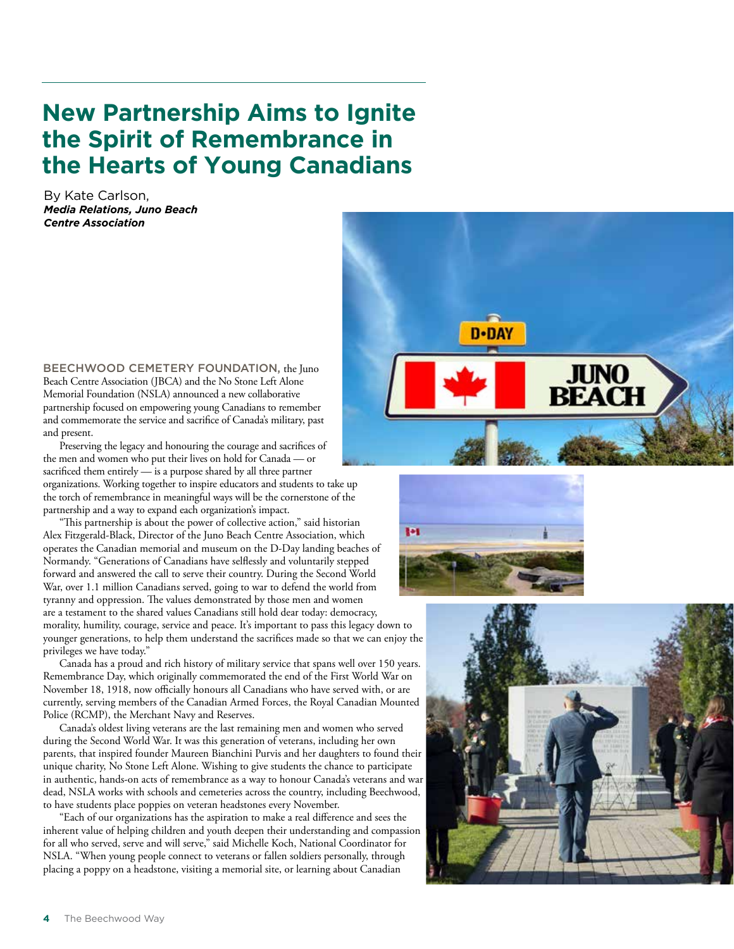# **New Partnership Aims to Ignite the Spirit of Remembrance in the Hearts of Young Canadians**

By Kate Carlson, *Media Relations, Juno Beach Centre Association*

BEECHWOOD CEMETERY FOUNDATION, the Juno Beach Centre Association (JBCA) and the No Stone Left Alone Memorial Foundation (NSLA) announced a new collaborative partnership focused on empowering young Canadians to remember and commemorate the service and sacrifice of Canada's military, past and present.

Preserving the legacy and honouring the courage and sacrifices of the men and women who put their lives on hold for Canada — or sacrificed them entirely — is a purpose shared by all three partner organizations. Working together to inspire educators and students to take up the torch of remembrance in meaningful ways will be the cornerstone of the partnership and a way to expand each organization's impact.

"This partnership is about the power of collective action," said historian Alex Fitzgerald-Black, Director of the Juno Beach Centre Association, which operates the Canadian memorial and museum on the D-Day landing beaches of Normandy. "Generations of Canadians have selflessly and voluntarily stepped forward and answered the call to serve their country. During the Second World War, over 1.1 million Canadians served, going to war to defend the world from tyranny and oppression. The values demonstrated by those men and women are a testament to the shared values Canadians still hold dear today: democracy, morality, humility, courage, service and peace. It's important to pass this legacy down to younger generations, to help them understand the sacrifices made so that we can enjoy the privileges we have today."

Canada has a proud and rich history of military service that spans well over 150 years. Remembrance Day, which originally commemorated the end of the First World War on November 18, 1918, now officially honours all Canadians who have served with, or are currently, serving members of the Canadian Armed Forces, the Royal Canadian Mounted Police (RCMP), the Merchant Navy and Reserves.

Canada's oldest living veterans are the last remaining men and women who served during the Second World War. It was this generation of veterans, including her own parents, that inspired founder Maureen Bianchini Purvis and her daughters to found their unique charity, No Stone Left Alone. Wishing to give students the chance to participate in authentic, hands-on acts of remembrance as a way to honour Canada's veterans and war dead, NSLA works with schools and cemeteries across the country, including Beechwood, to have students place poppies on veteran headstones every November.

"Each of our organizations has the aspiration to make a real difference and sees the inherent value of helping children and youth deepen their understanding and compassion for all who served, serve and will serve," said Michelle Koch, National Coordinator for NSLA. "When young people connect to veterans or fallen soldiers personally, through placing a poppy on a headstone, visiting a memorial site, or learning about Canadian





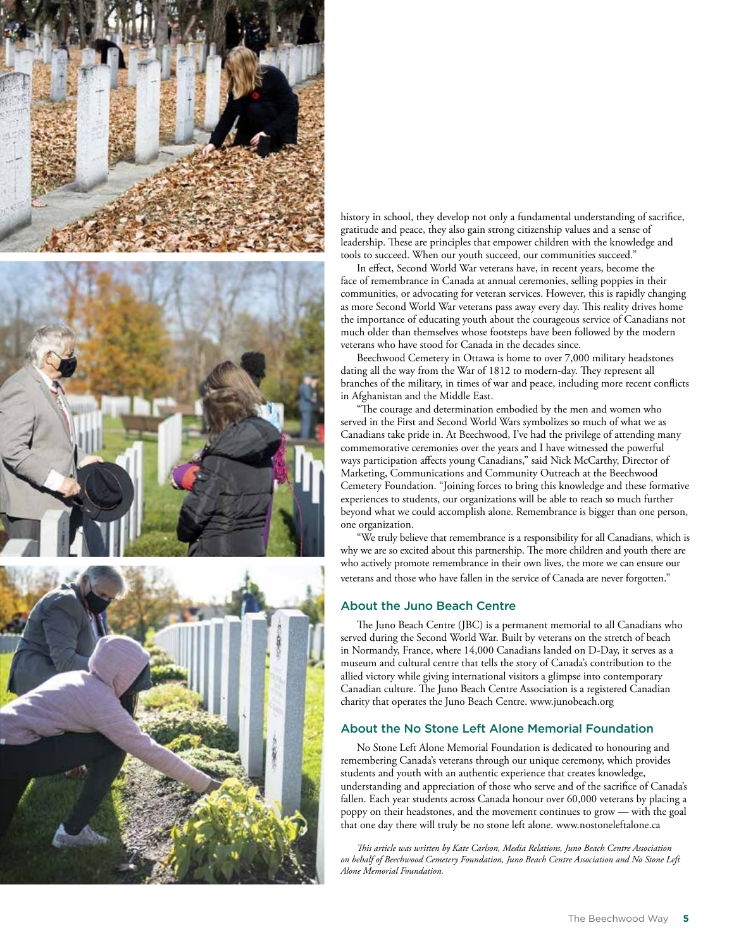





history in school, they develop not only a fundamental understanding of sacrifice, gratitude and peace, they also gain strong citizenship values and a sense of leadership. These are principles that empower children with the knowledge and tools to succeed. When our youth succeed, our communities succeed."

In effect, Second World War veterans have, in recent years, become the face of remembrance in Canada at annual ceremonies, selling poppies in their communities, or advocating for veteran services. However, this is rapidly changing as more Second World War veterans pass away every day. This reality drives home the importance of educating youth about the courageous service of Canadians not much older than themselves whose footsteps have been followed by the modern veterans who have stood for Canada in the decades since.

Beechwood Cemetery in Ottawa is home to over 7,000 military headstones dating all the way from the War of 1812 to modern-day. They represent all branches of the military, in times of war and peace, including more recent conflicts in Afghanistan and the Middle East.

"The courage and determination embodied by the men and women who served in the First and Second World Wars symbolizes so much of what we as Canadians take pride in. At Beechwood, I've had the privilege of attending many commemorative ceremonies over the years and I have witnessed the powerful ways participation affects young Canadians," said Nick McCarthy, Director of Marketing, Communications and Community Outreach at the Beechwood Cemetery Foundation. "Joining forces to bring this knowledge and these formative experiences to students, our organizations will be able to reach so much further beyond what we could accomplish alone. Remembrance is bigger than one person, one organization.

"We truly believe that remembrance is a responsibility for all Canadians, which is why we are so excited about this partnership. The more children and youth there are who actively promote remembrance in their own lives, the more we can ensure our veterans and those who have fallen in the service of Canada are never forgotten."

#### About the Juno Beach Centre

The Juno Beach Centre (JBC) is a permanent memorial to all Canadians who served during the Second World War. Built by veterans on the stretch of beach in Normandy, France, where 14,000 Canadians landed on D-Day, it serves as a museum and cultural centre that tells the story of Canada's contribution to the allied victory while giving international visitors a glimpse into contemporary Canadian culture. The Juno Beach Centre Association is a registered Canadian charity that operates the Juno Beach Centre. www.junobeach.org

#### About the No Stone Left Alone Memorial Foundation

No Stone Left Alone Memorial Foundation is dedicated to honouring and remembering Canada's veterans through our unique ceremony, which provides students and youth with an authentic experience that creates knowledge, understanding and appreciation of those who serve and of the sacrifice of Canada's fallen. Each year students across Canada honour over 60,000 veterans by placing a poppy on their headstones, and the movement continues to grow — with the goal that one day there will truly be no stone left alone. www.nostoneleftalone.ca

*This article was written by Kate Carlson, Media Relations, Juno Beach Centre Association on behalf of Beechwood Cemetery Foundation, Juno Beach Centre Association and No Stone Left Alone Memorial Foundation.*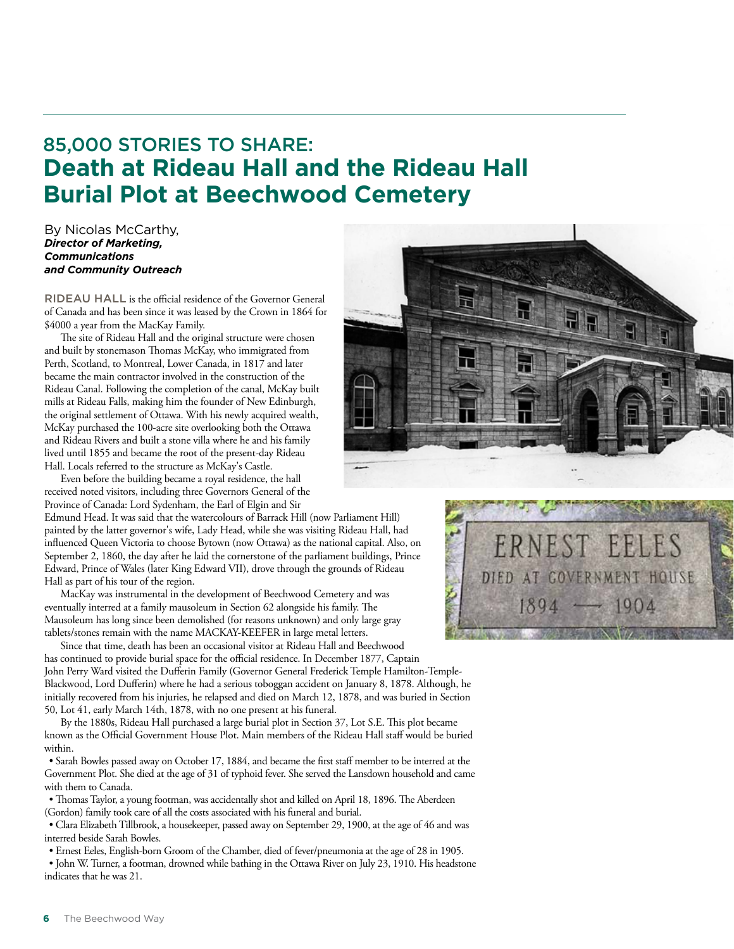### 85,000 STORIES TO SHARE: **Death at Rideau Hall and the Rideau Hall Burial Plot at Beechwood Cemetery**

By Nicolas McCarthy, *Director of Marketing, Communications and Community Outreach*

RIDEAU HALL is the official residence of the Governor General of Canada and has been since it was leased by the Crown in 1864 for \$4000 a year from the MacKay Family.

The site of Rideau Hall and the original structure were chosen and built by stonemason Thomas McKay, who immigrated from Perth, Scotland, to Montreal, Lower Canada, in 1817 and later became the main contractor involved in the construction of the Rideau Canal. Following the completion of the canal, McKay built mills at Rideau Falls, making him the founder of New Edinburgh, the original settlement of Ottawa. With his newly acquired wealth, McKay purchased the 100-acre site overlooking both the Ottawa and Rideau Rivers and built a stone villa where he and his family lived until 1855 and became the root of the present-day Rideau Hall. Locals referred to the structure as McKay's Castle.

Even before the building became a royal residence, the hall received noted visitors, including three Governors General of the Province of Canada: Lord Sydenham, the Earl of Elgin and Sir

Edmund Head. It was said that the watercolours of Barrack Hill (now Parliament Hill) painted by the latter governor's wife, Lady Head, while she was visiting Rideau Hall, had influenced Queen Victoria to choose Bytown (now Ottawa) as the national capital. Also, on September 2, 1860, the day after he laid the cornerstone of the parliament buildings, Prince Edward, Prince of Wales (later King Edward VII), drove through the grounds of Rideau Hall as part of his tour of the region.

MacKay was instrumental in the development of Beechwood Cemetery and was eventually interred at a family mausoleum in Section 62 alongside his family. The Mausoleum has long since been demolished (for reasons unknown) and only large gray tablets/stones remain with the name MACKAY-KEEFER in large metal letters.

Since that time, death has been an occasional visitor at Rideau Hall and Beechwood has continued to provide burial space for the official residence. In December 1877, Captain John Perry Ward visited the Dufferin Family (Governor General Frederick Temple Hamilton-Temple-Blackwood, Lord Dufferin) where he had a serious toboggan accident on January 8, 1878. Although, he initially recovered from his injuries, he relapsed and died on March 12, 1878, and was buried in Section 50, Lot 41, early March 14th, 1878, with no one present at his funeral.

By the 1880s, Rideau Hall purchased a large burial plot in Section 37, Lot S.E. This plot became known as the Official Government House Plot. Main members of the Rideau Hall staff would be buried within.

• Sarah Bowles passed away on October 17, 1884, and became the first staff member to be interred at the Government Plot. She died at the age of 31 of typhoid fever. She served the Lansdown household and came with them to Canada.

• Thomas Taylor, a young footman, was accidentally shot and killed on April 18, 1896. The Aberdeen (Gordon) family took care of all the costs associated with his funeral and burial.

• Clara Elizabeth Tillbrook, a housekeeper, passed away on September 29, 1900, at the age of 46 and was interred beside Sarah Bowles.

• Ernest Eeles, English-born Groom of the Chamber, died of fever/pneumonia at the age of 28 in 1905.

• John W. Turner, a footman, drowned while bathing in the Ottawa River on July 23, 1910. His headstone indicates that he was 21.



NEST FELES

DIED AT GOVERNMENT HOUSE

 $1894 - 1904$ 

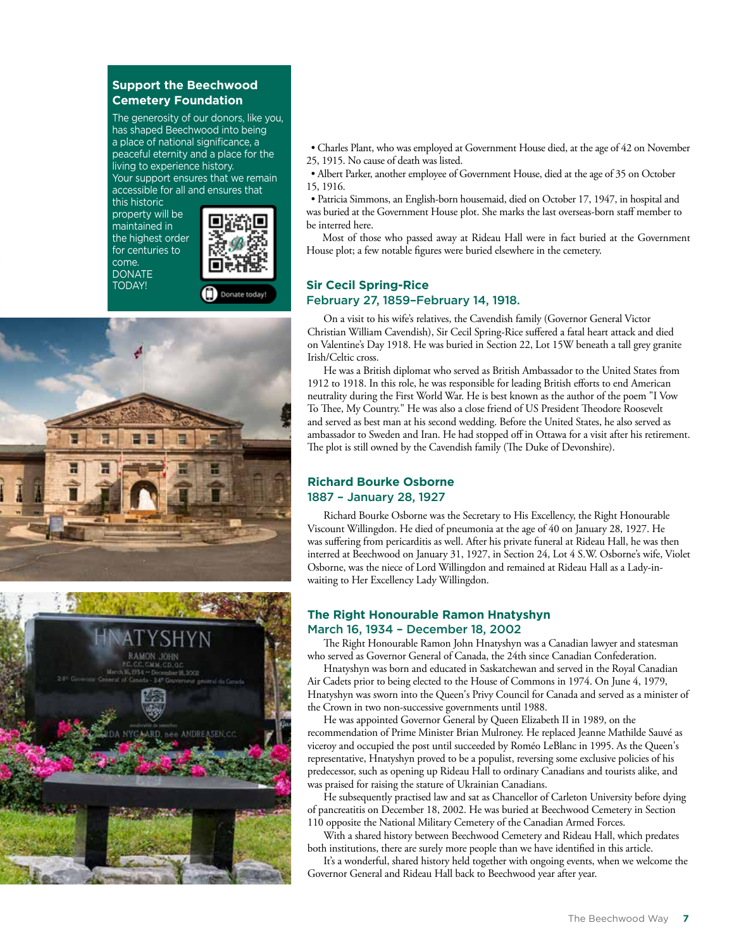#### **Support the Beechwood Cemetery Foundation**

The generosity of our donors, like you, has shaped Beechwood into being a place of national significance, a peaceful eternity and a place for the living to experience history. Your support ensures that we remain accessible for all and ensures that

this historic property will be maintained in the highest order for centuries to come. **DONATE** TODAY!







• Charles Plant, who was employed at Government House died, at the age of 42 on November 25, 1915. No cause of death was listed.

• Albert Parker, another employee of Government House, died at the age of 35 on October 15, 1916.

• Patricia Simmons, an English-born housemaid, died on October 17, 1947, in hospital and was buried at the Government House plot. She marks the last overseas-born staff member to be interred here.

Most of those who passed away at Rideau Hall were in fact buried at the Government House plot; a few notable figures were buried elsewhere in the cemetery.

### **Sir Cecil Spring-Rice**  February 27, 1859–February 14, 1918.

On a visit to his wife's relatives, the Cavendish family (Governor General Victor Christian William Cavendish), Sir Cecil Spring-Rice suffered a fatal heart attack and died on Valentine's Day 1918. He was buried in Section 22, Lot 15W beneath a tall grey granite Irish/Celtic cross.

He was a British diplomat who served as British Ambassador to the United States from 1912 to 1918. In this role, he was responsible for leading British efforts to end American neutrality during the First World War. He is best known as the author of the poem "I Vow To Thee, My Country." He was also a close friend of US President Theodore Roosevelt and served as best man at his second wedding. Before the United States, he also served as ambassador to Sweden and Iran. He had stopped off in Ottawa for a visit after his retirement. The plot is still owned by the Cavendish family (The Duke of Devonshire).

### **Richard Bourke Osborne**  1887 – January 28, 1927

Richard Bourke Osborne was the Secretary to His Excellency, the Right Honourable Viscount Willingdon. He died of pneumonia at the age of 40 on January 28, 1927. He was suffering from pericarditis as well. After his private funeral at Rideau Hall, he was then interred at Beechwood on January 31, 1927, in Section 24, Lot 4 S.W. Osborne's wife, Violet Osborne, was the niece of Lord Willingdon and remained at Rideau Hall as a Lady-inwaiting to Her Excellency Lady Willingdon.

#### **The Right Honourable Ramon Hnatyshyn** March 16, 1934 – December 18, 2002

The Right Honourable Ramon John Hnatyshyn was a Canadian lawyer and statesman who served as Governor General of Canada, the 24th since Canadian Confederation.

Hnatyshyn was born and educated in Saskatchewan and served in the Royal Canadian Air Cadets prior to being elected to the House of Commons in 1974. On June 4, 1979, Hnatyshyn was sworn into the Queen's Privy Council for Canada and served as a minister of the Crown in two non-successive governments until 1988.

He was appointed Governor General by Queen Elizabeth II in 1989, on the recommendation of Prime Minister Brian Mulroney. He replaced Jeanne Mathilde Sauvé as viceroy and occupied the post until succeeded by Roméo LeBlanc in 1995. As the Queen's representative, Hnatyshyn proved to be a populist, reversing some exclusive policies of his predecessor, such as opening up Rideau Hall to ordinary Canadians and tourists alike, and was praised for raising the stature of Ukrainian Canadians.

He subsequently practised law and sat as Chancellor of Carleton University before dying of pancreatitis on December 18, 2002. He was buried at Beechwood Cemetery in Section 110 opposite the National Military Cemetery of the Canadian Armed Forces.

With a shared history between Beechwood Cemetery and Rideau Hall, which predates both institutions, there are surely more people than we have identified in this article.

It's a wonderful, shared history held together with ongoing events, when we welcome the Governor General and Rideau Hall back to Beechwood year after year.